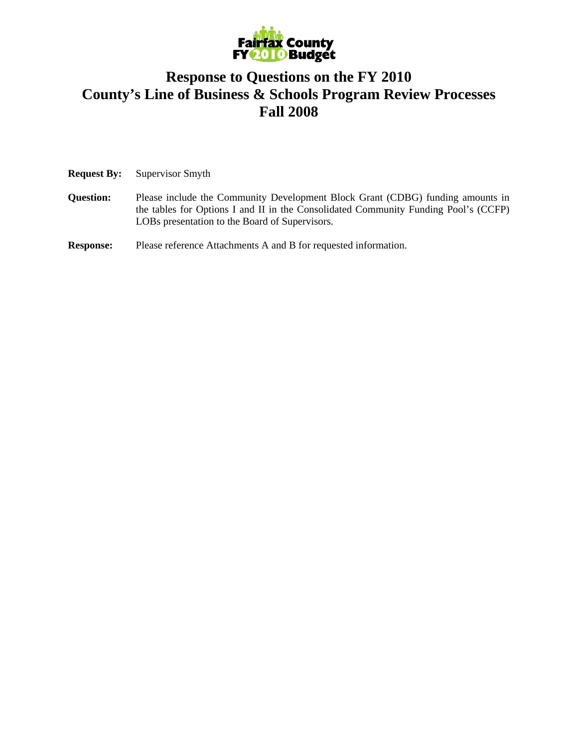

## **Response to Questions on the FY 2010 County's Line of Business & Schools Program Review Processes Fall 2008**

**Request By:** Supervisor Smyth

**Question:** Please include the Community Development Block Grant (CDBG) funding amounts in the tables for Options I and II in the Consolidated Community Funding Pool's (CCFP) LOBs presentation to the Board of Supervisors.

**Response:** Please reference Attachments A and B for requested information.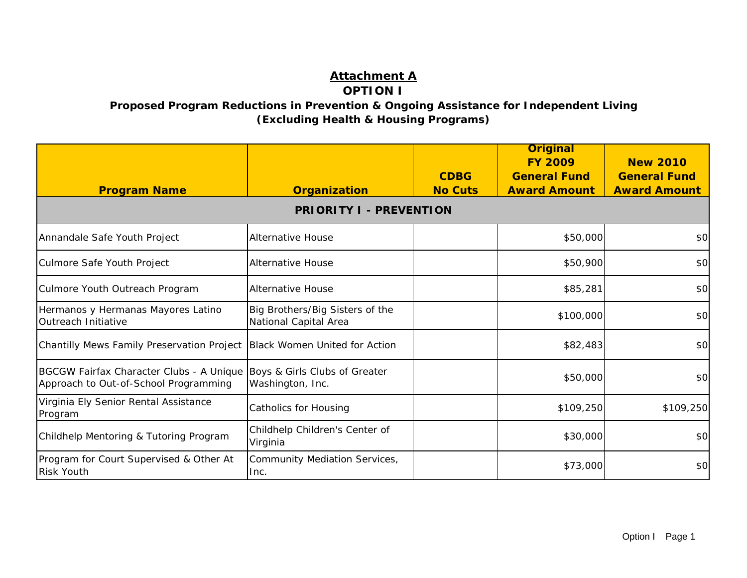## **Attachment A OPTION I**

**Proposed Program Reductions in Prevention & Ongoing Assistance for Independent Living (Excluding Health & Housing Programs)** 

| <b>Program Name</b>                                                                                             | <b>Organization</b>                                      | <b>CDBG</b><br><b>No Cuts</b> | <b>Original</b><br><b>FY 2009</b><br><b>General Fund</b><br><b>Award Amount</b> | <b>New 2010</b><br><b>General Fund</b><br><b>Award Amount</b> |  |  |  |
|-----------------------------------------------------------------------------------------------------------------|----------------------------------------------------------|-------------------------------|---------------------------------------------------------------------------------|---------------------------------------------------------------|--|--|--|
|                                                                                                                 | <b>PRIORITY I - PREVENTION</b>                           |                               |                                                                                 |                                                               |  |  |  |
| Annandale Safe Youth Project                                                                                    | <b>Alternative House</b>                                 |                               | \$50,000                                                                        | \$0                                                           |  |  |  |
| Culmore Safe Youth Project                                                                                      | <b>Alternative House</b>                                 |                               | \$50,900                                                                        | \$0                                                           |  |  |  |
| Culmore Youth Outreach Program                                                                                  | <b>Alternative House</b>                                 |                               | \$85,281                                                                        | \$0                                                           |  |  |  |
| Hermanos y Hermanas Mayores Latino<br>Outreach Initiative                                                       | Big Brothers/Big Sisters of the<br>National Capital Area |                               | \$100,000                                                                       | \$0                                                           |  |  |  |
| Chantilly Mews Family Preservation Project                                                                      | Black Women United for Action                            |                               | \$82,483                                                                        | \$0                                                           |  |  |  |
| BGCGW Fairfax Character Clubs - A Unique Boys & Girls Clubs of Greater<br>Approach to Out-of-School Programming | Washington, Inc.                                         |                               | \$50,000                                                                        | \$0                                                           |  |  |  |
| Virginia Ely Senior Rental Assistance<br>Program                                                                | Catholics for Housing                                    |                               | \$109,250                                                                       | \$109,250                                                     |  |  |  |
| Childhelp Mentoring & Tutoring Program                                                                          | Childhelp Children's Center of<br>Virginia               |                               | \$30,000                                                                        | \$0                                                           |  |  |  |
| Program for Court Supervised & Other At<br><b>Risk Youth</b>                                                    | <b>Community Mediation Services,</b><br>Inc.             |                               | \$73,000                                                                        | \$0                                                           |  |  |  |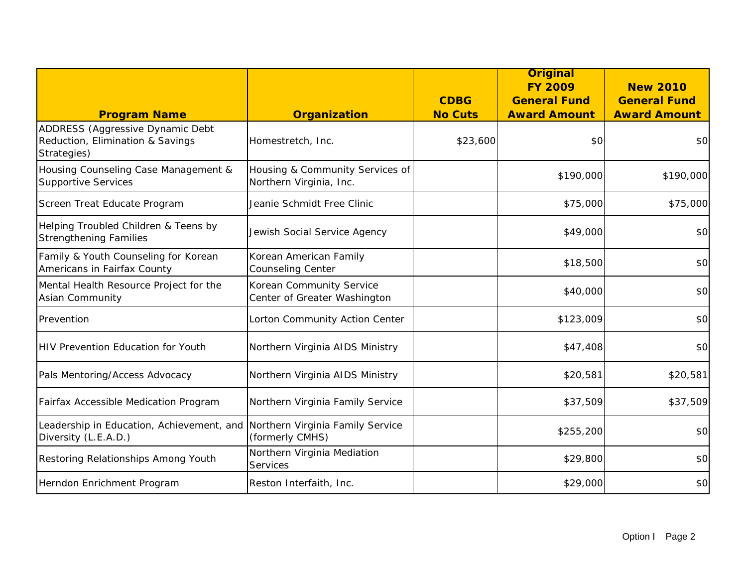|                                                                                                    |                                                            |                               | <b>Original</b><br><b>FY 2009</b>          | <b>New 2010</b>                            |
|----------------------------------------------------------------------------------------------------|------------------------------------------------------------|-------------------------------|--------------------------------------------|--------------------------------------------|
| <b>Program Name</b>                                                                                | <b>Organization</b>                                        | <b>CDBG</b><br><b>No Cuts</b> | <b>General Fund</b><br><b>Award Amount</b> | <b>General Fund</b><br><b>Award Amount</b> |
| ADDRESS (Aggressive Dynamic Debt<br>Reduction, Elimination & Savings<br>Strategies)                | Homestretch, Inc.                                          | \$23,600                      | \$0                                        | \$0                                        |
| Housing Counseling Case Management &<br><b>Supportive Services</b>                                 | Housing & Community Services of<br>Northern Virginia, Inc. |                               | \$190,000                                  | \$190,000                                  |
| Screen Treat Educate Program                                                                       | Jeanie Schmidt Free Clinic                                 |                               | \$75,000                                   | \$75,000                                   |
| Helping Troubled Children & Teens by<br><b>Strengthening Families</b>                              | Jewish Social Service Agency                               |                               | \$49,000                                   | \$0                                        |
| Family & Youth Counseling for Korean<br>Americans in Fairfax County                                | Korean American Family<br>Counseling Center                |                               | \$18,500                                   | \$0                                        |
| Mental Health Resource Project for the<br>Asian Community                                          | Korean Community Service<br>Center of Greater Washington   |                               | \$40,000                                   | \$0                                        |
| Prevention                                                                                         | Lorton Community Action Center                             |                               | \$123,009                                  | \$0                                        |
| <b>HIV Prevention Education for Youth</b>                                                          | Northern Virginia AIDS Ministry                            |                               | \$47,408                                   | \$0                                        |
| Pals Mentoring/Access Advocacy                                                                     | Northern Virginia AIDS Ministry                            |                               | \$20,581                                   | \$20,581                                   |
| Fairfax Accessible Medication Program                                                              | Northern Virginia Family Service                           |                               | \$37,509                                   | \$37,509                                   |
| Leadership in Education, Achievement, and Northern Virginia Family Service<br>Diversity (L.E.A.D.) | (formerly CMHS)                                            |                               | \$255,200                                  | \$0                                        |
| Restoring Relationships Among Youth                                                                | Northern Virginia Mediation<br>Services                    |                               | \$29,800                                   | \$0                                        |
| Herndon Enrichment Program                                                                         | Reston Interfaith, Inc.                                    |                               | \$29,000                                   | \$0                                        |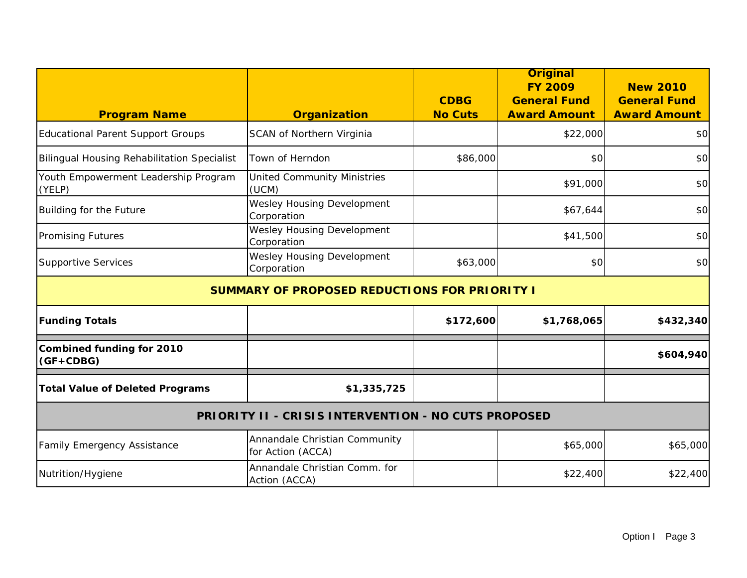|                                                             |                                                      | <b>CDBG</b>    | <b>Original</b><br><b>FY 2009</b><br><b>General Fund</b> | <b>New 2010</b><br><b>General Fund</b> |  |
|-------------------------------------------------------------|------------------------------------------------------|----------------|----------------------------------------------------------|----------------------------------------|--|
| <b>Program Name</b>                                         | <b>Organization</b>                                  | <b>No Cuts</b> | <b>Award Amount</b>                                      | <b>Award Amount</b>                    |  |
| <b>Educational Parent Support Groups</b>                    | SCAN of Northern Virginia                            |                | \$22,000                                                 | \$0                                    |  |
| <b>Bilingual Housing Rehabilitation Specialist</b>          | Town of Herndon                                      | \$86,000       | \$0                                                      | \$0                                    |  |
| Youth Empowerment Leadership Program<br>(YELP)              | <b>United Community Ministries</b><br>(UCM)          |                | \$91,000                                                 | \$0                                    |  |
| Building for the Future                                     | <b>Wesley Housing Development</b><br>Corporation     |                | \$67,644                                                 | \$0                                    |  |
| <b>Promising Futures</b>                                    | <b>Wesley Housing Development</b><br>Corporation     |                | \$41,500                                                 | \$0                                    |  |
| <b>Supportive Services</b>                                  | Wesley Housing Development<br>Corporation            | \$63,000       | \$0                                                      | \$0                                    |  |
|                                                             | <b>SUMMARY OF PROPOSED REDUCTIONS FOR PRIORITY I</b> |                |                                                          |                                        |  |
| <b>Funding Totals</b>                                       |                                                      | \$172,600      | \$1,768,065                                              | \$432,340                              |  |
| <b>Combined funding for 2010</b><br>$(GF + CDBG)$           |                                                      |                |                                                          | \$604,940                              |  |
| <b>Total Value of Deleted Programs</b>                      | \$1,335,725                                          |                |                                                          |                                        |  |
| <b>PRIORITY II - CRISIS INTERVENTION - NO CUTS PROPOSED</b> |                                                      |                |                                                          |                                        |  |
| Family Emergency Assistance                                 | Annandale Christian Community<br>for Action (ACCA)   |                | \$65,000                                                 | \$65,000                               |  |
| Nutrition/Hygiene                                           | Annandale Christian Comm. for<br>Action (ACCA)       |                | \$22,400                                                 | \$22,400                               |  |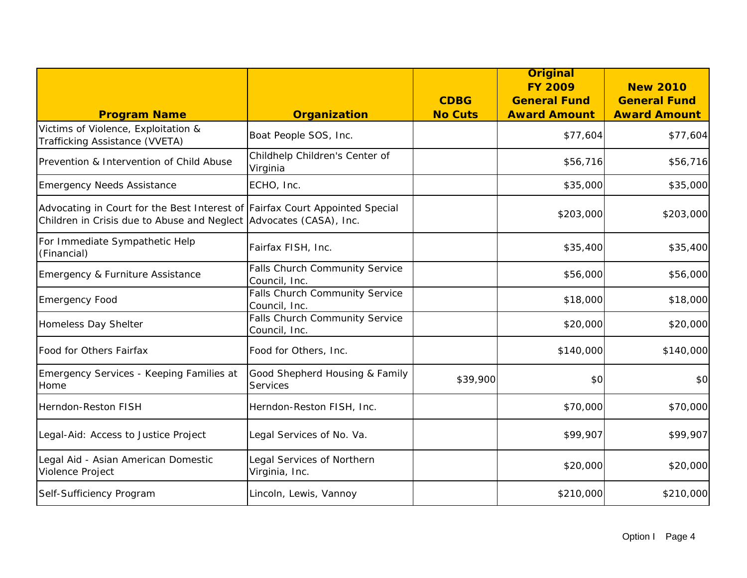|                                                                                                                                                    |                                                 | <b>CDBG</b>    | <b>Original</b><br><b>FY 2009</b><br><b>General Fund</b> | <b>New 2010</b><br><b>General Fund</b> |
|----------------------------------------------------------------------------------------------------------------------------------------------------|-------------------------------------------------|----------------|----------------------------------------------------------|----------------------------------------|
| <b>Program Name</b>                                                                                                                                | <b>Organization</b>                             | <b>No Cuts</b> | <b>Award Amount</b>                                      | <b>Award Amount</b>                    |
| Victims of Violence, Exploitation &<br>Trafficking Assistance (VVETA)                                                                              | Boat People SOS, Inc.                           |                | \$77,604                                                 | \$77,604                               |
| Prevention & Intervention of Child Abuse                                                                                                           | Childhelp Children's Center of<br>Virginia      |                | \$56,716                                                 | \$56,716                               |
| <b>Emergency Needs Assistance</b>                                                                                                                  | ECHO, Inc.                                      |                | \$35,000                                                 | \$35,000                               |
| Advocating in Court for the Best Interest of Fairfax Court Appointed Special<br>Children in Crisis due to Abuse and Neglect Advocates (CASA), Inc. |                                                 |                | \$203,000                                                | \$203,000                              |
| For Immediate Sympathetic Help<br>(Financial)                                                                                                      | Fairfax FISH, Inc.                              |                | \$35,400                                                 | \$35,400                               |
| Emergency & Furniture Assistance                                                                                                                   | Falls Church Community Service<br>Council, Inc. |                | \$56,000                                                 | \$56,000                               |
| <b>Emergency Food</b>                                                                                                                              | Falls Church Community Service<br>Council, Inc. |                | \$18,000                                                 | \$18,000                               |
| Homeless Day Shelter                                                                                                                               | Falls Church Community Service<br>Council, Inc. |                | \$20,000                                                 | \$20,000                               |
| Food for Others Fairfax                                                                                                                            | Food for Others, Inc.                           |                | \$140,000                                                | \$140,000                              |
| Emergency Services - Keeping Families at<br>Home                                                                                                   | Good Shepherd Housing & Family<br>Services      | \$39,900       | \$0                                                      | \$0                                    |
| Herndon-Reston FISH                                                                                                                                | Herndon-Reston FISH, Inc.                       |                | \$70,000                                                 | \$70,000                               |
| Legal-Aid: Access to Justice Project                                                                                                               | Legal Services of No. Va.                       |                | \$99,907                                                 | \$99,907                               |
| Legal Aid - Asian American Domestic<br>Violence Project                                                                                            | Legal Services of Northern<br>Virginia, Inc.    |                | \$20,000                                                 | \$20,000                               |
| Self-Sufficiency Program                                                                                                                           | Lincoln, Lewis, Vannoy                          |                | \$210,000                                                | \$210,000                              |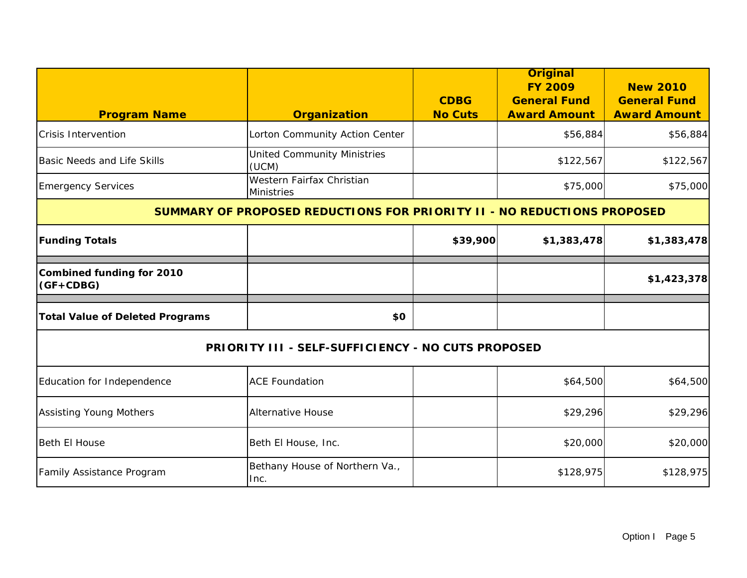| <b>Program Name</b>                                                            | <b>Organization</b>                                       | <b>CDBG</b><br><b>No Cuts</b> | <b>Original</b><br><b>FY 2009</b><br><b>General Fund</b><br><b>Award Amount</b> | <b>New 2010</b><br><b>General Fund</b><br><b>Award Amount</b> |
|--------------------------------------------------------------------------------|-----------------------------------------------------------|-------------------------------|---------------------------------------------------------------------------------|---------------------------------------------------------------|
| <b>Crisis Intervention</b>                                                     | Lorton Community Action Center                            |                               | \$56,884                                                                        | \$56,884                                                      |
| Basic Needs and Life Skills                                                    | <b>United Community Ministries</b><br>(UCM)               |                               | \$122,567                                                                       | \$122,567                                                     |
| <b>Emergency Services</b>                                                      | Western Fairfax Christian<br><b>Ministries</b>            |                               | \$75,000                                                                        | \$75,000                                                      |
| <b>SUMMARY OF PROPOSED REDUCTIONS FOR PRIORITY II - NO REDUCTIONS PROPOSED</b> |                                                           |                               |                                                                                 |                                                               |
| <b>Funding Totals</b>                                                          |                                                           | \$39,900                      | \$1,383,478                                                                     | \$1,383,478                                                   |
| <b>Combined funding for 2010</b><br>$(GF+CDBG)$                                |                                                           |                               |                                                                                 | \$1,423,378                                                   |
| <b>Total Value of Deleted Programs</b>                                         | \$0                                                       |                               |                                                                                 |                                                               |
|                                                                                | <b>PRIORITY III - SELF-SUFFICIENCY - NO CUTS PROPOSED</b> |                               |                                                                                 |                                                               |
| Education for Independence                                                     | <b>ACE Foundation</b>                                     |                               | \$64,500                                                                        | \$64,500                                                      |
| <b>Assisting Young Mothers</b>                                                 | <b>Alternative House</b>                                  |                               | \$29,296                                                                        | \$29,296                                                      |
| Beth El House                                                                  | Beth El House, Inc.                                       |                               | \$20,000                                                                        | \$20,000                                                      |
| Family Assistance Program                                                      | Bethany House of Northern Va.,<br>Inc.                    |                               | \$128,975                                                                       | \$128,975                                                     |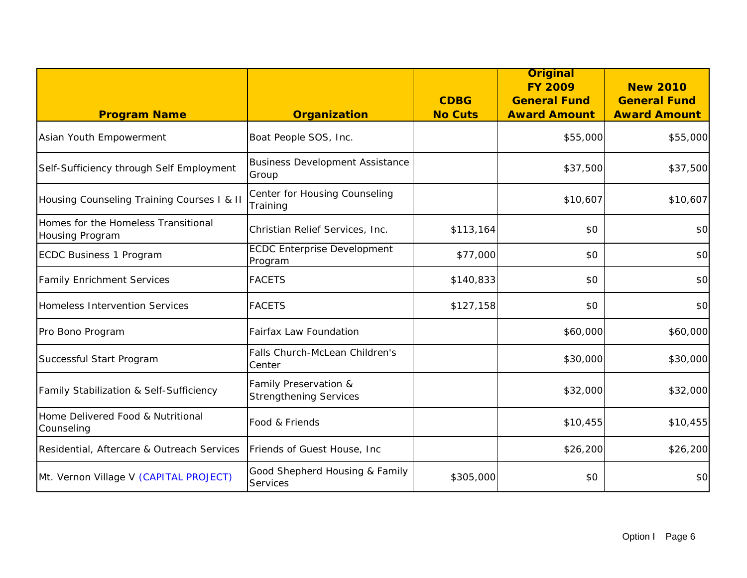|                                                        |                                                        | <b>CDBG</b>    | <b>Original</b><br><b>FY 2009</b><br><b>General Fund</b> | <b>New 2010</b><br><b>General Fund</b> |
|--------------------------------------------------------|--------------------------------------------------------|----------------|----------------------------------------------------------|----------------------------------------|
| <b>Program Name</b>                                    | <b>Organization</b>                                    | <b>No Cuts</b> | <b>Award Amount</b>                                      | <b>Award Amount</b>                    |
| Asian Youth Empowerment                                | Boat People SOS, Inc.                                  |                | \$55,000                                                 | \$55,000                               |
| Self-Sufficiency through Self Employment               | <b>Business Development Assistance</b><br>Group        |                | \$37,500                                                 | \$37,500                               |
| Housing Counseling Training Courses I & II             | Center for Housing Counseling<br>Training              |                | \$10,607                                                 | \$10,607                               |
| Homes for the Homeless Transitional<br>Housing Program | Christian Relief Services, Inc.                        | \$113,164      | \$0                                                      | \$0                                    |
| ECDC Business 1 Program                                | <b>ECDC Enterprise Development</b><br>Program          | \$77,000       | \$0                                                      | \$0                                    |
| <b>Family Enrichment Services</b>                      | <b>FACETS</b>                                          | \$140,833      | \$0                                                      | \$0                                    |
| Homeless Intervention Services                         | <b>FACETS</b>                                          | \$127,158      | \$0                                                      | \$0                                    |
| Pro Bono Program                                       | <b>Fairfax Law Foundation</b>                          |                | \$60,000                                                 | \$60,000                               |
| Successful Start Program                               | Falls Church-McLean Children's<br>Center               |                | \$30,000                                                 | \$30,000                               |
| Family Stabilization & Self-Sufficiency                | Family Preservation &<br><b>Strengthening Services</b> |                | \$32,000                                                 | \$32,000                               |
| Home Delivered Food & Nutritional<br>Counseling        | Food & Friends                                         |                | \$10,455                                                 | \$10,455                               |
| Residential, Aftercare & Outreach Services             | Friends of Guest House, Inc                            |                | \$26,200                                                 | \$26,200                               |
| Mt. Vernon Village V (CAPITAL PROJECT)                 | Good Shepherd Housing & Family<br>Services             | \$305,000      | \$0                                                      | \$0                                    |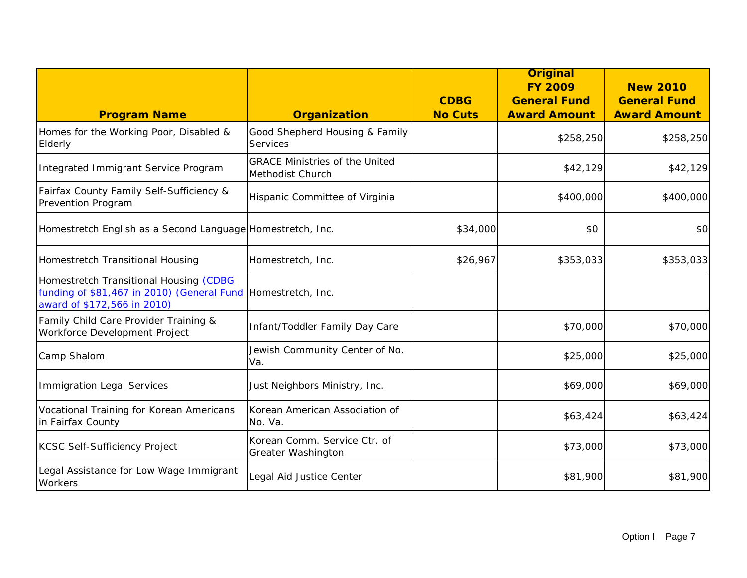|                                                                                                                                       |                                                           |                | <b>Original</b><br><b>FY 2009</b> | <b>New 2010</b>     |
|---------------------------------------------------------------------------------------------------------------------------------------|-----------------------------------------------------------|----------------|-----------------------------------|---------------------|
|                                                                                                                                       |                                                           | <b>CDBG</b>    | <b>General Fund</b>               | <b>General Fund</b> |
| <b>Program Name</b>                                                                                                                   | <b>Organization</b>                                       | <b>No Cuts</b> | <b>Award Amount</b>               | <b>Award Amount</b> |
| Homes for the Working Poor, Disabled &<br>Elderly                                                                                     | Good Shepherd Housing & Family<br>Services                |                | \$258,250                         | \$258,250           |
| Integrated Immigrant Service Program                                                                                                  | <b>GRACE Ministries of the United</b><br>Methodist Church |                | \$42,129                          | \$42,129            |
| Fairfax County Family Self-Sufficiency &<br>Prevention Program                                                                        | Hispanic Committee of Virginia                            |                | \$400,000                         | \$400,000           |
| Homestretch English as a Second Language Homestretch, Inc.                                                                            |                                                           | \$34,000       | \$0                               | \$0                 |
| Homestretch Transitional Housing                                                                                                      | Homestretch, Inc.                                         | \$26,967       | \$353,033                         | \$353,033           |
| Homestretch Transitional Housing (CDBG<br>funding of \$81,467 in 2010) (General Fund Homestretch, Inc.<br>award of \$172,566 in 2010) |                                                           |                |                                   |                     |
| Family Child Care Provider Training &<br>Workforce Development Project                                                                | Infant/Toddler Family Day Care                            |                | \$70,000                          | \$70,000            |
| Camp Shalom                                                                                                                           | Jewish Community Center of No.<br>Va.                     |                | \$25,000                          | \$25,000            |
| <b>Immigration Legal Services</b>                                                                                                     | Just Neighbors Ministry, Inc.                             |                | \$69,000                          | \$69,000            |
| Vocational Training for Korean Americans<br>in Fairfax County                                                                         | Korean American Association of<br>No. Va.                 |                | \$63,424                          | \$63,424            |
| <b>KCSC Self-Sufficiency Project</b>                                                                                                  | Korean Comm. Service Ctr. of<br>Greater Washington        |                | \$73,000                          | \$73,000            |
| Legal Assistance for Low Wage Immigrant<br>Workers                                                                                    | Legal Aid Justice Center                                  |                | \$81,900                          | \$81,900            |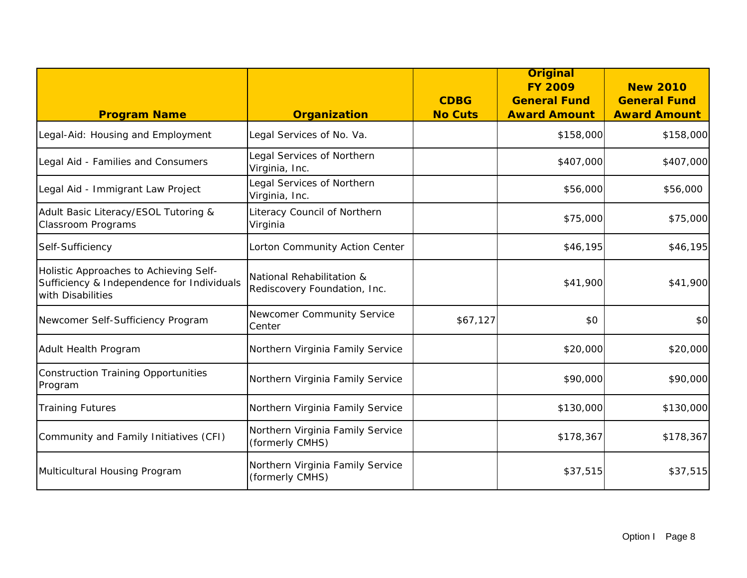|                                                                                                           |                                                           | <b>CDBG</b>    | <b>Original</b><br><b>FY 2009</b><br><b>General Fund</b> | <b>New 2010</b><br><b>General Fund</b> |
|-----------------------------------------------------------------------------------------------------------|-----------------------------------------------------------|----------------|----------------------------------------------------------|----------------------------------------|
| <b>Program Name</b>                                                                                       | <b>Organization</b>                                       | <b>No Cuts</b> | <b>Award Amount</b>                                      | <b>Award Amount</b>                    |
| Legal-Aid: Housing and Employment                                                                         | Legal Services of No. Va.                                 |                | \$158,000                                                | \$158,000                              |
| Legal Aid - Families and Consumers                                                                        | Legal Services of Northern<br>Virginia, Inc.              |                | \$407,000                                                | \$407,000                              |
| Legal Aid - Immigrant Law Project                                                                         | Legal Services of Northern<br>Virginia, Inc.              |                | \$56,000                                                 | \$56,000                               |
| Adult Basic Literacy/ESOL Tutoring &<br><b>Classroom Programs</b>                                         | Literacy Council of Northern<br>Virginia                  |                | \$75,000                                                 | \$75,000                               |
| Self-Sufficiency                                                                                          | Lorton Community Action Center                            |                | \$46,195                                                 | \$46,195                               |
| Holistic Approaches to Achieving Self-<br>Sufficiency & Independence for Individuals<br>with Disabilities | National Rehabilitation &<br>Rediscovery Foundation, Inc. |                | \$41,900                                                 | \$41,900                               |
| Newcomer Self-Sufficiency Program                                                                         | Newcomer Community Service<br>Center                      | \$67,127       | \$0                                                      | \$0                                    |
| Adult Health Program                                                                                      | Northern Virginia Family Service                          |                | \$20,000                                                 | \$20,000                               |
| <b>Construction Training Opportunities</b><br>Program                                                     | Northern Virginia Family Service                          |                | \$90,000                                                 | \$90,000                               |
| <b>Training Futures</b>                                                                                   | Northern Virginia Family Service                          |                | \$130,000                                                | \$130,000                              |
| Community and Family Initiatives (CFI)                                                                    | Northern Virginia Family Service<br>(formerly CMHS)       |                | \$178,367                                                | \$178,367                              |
| Multicultural Housing Program                                                                             | Northern Virginia Family Service<br>(formerly CMHS)       |                | \$37,515                                                 | \$37,515                               |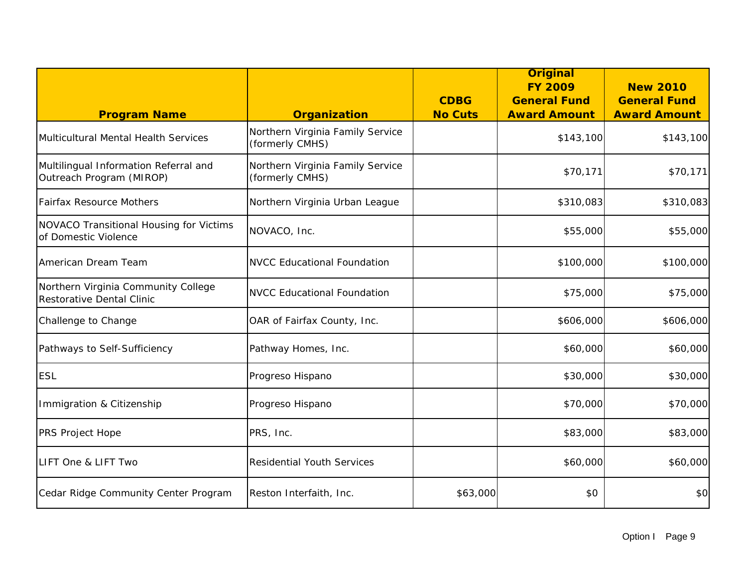| <b>Program Name</b>                                               | <b>Organization</b>                                 | <b>CDBG</b><br><b>No Cuts</b> | <b>Original</b><br><b>FY 2009</b><br><b>General Fund</b><br><b>Award Amount</b> | <b>New 2010</b><br><b>General Fund</b><br><b>Award Amount</b> |
|-------------------------------------------------------------------|-----------------------------------------------------|-------------------------------|---------------------------------------------------------------------------------|---------------------------------------------------------------|
| Multicultural Mental Health Services                              | Northern Virginia Family Service<br>(formerly CMHS) |                               | \$143,100                                                                       | \$143,100                                                     |
| Multilingual Information Referral and<br>Outreach Program (MIROP) | Northern Virginia Family Service<br>(formerly CMHS) |                               | \$70,171                                                                        | \$70,171                                                      |
| <b>Fairfax Resource Mothers</b>                                   | Northern Virginia Urban League                      |                               | \$310,083                                                                       | \$310,083                                                     |
| NOVACO Transitional Housing for Victims<br>of Domestic Violence   | NOVACO, Inc.                                        |                               | \$55,000                                                                        | \$55,000                                                      |
| American Dream Team                                               | <b>NVCC Educational Foundation</b>                  |                               | \$100,000                                                                       | \$100,000                                                     |
| Northern Virginia Community College<br>Restorative Dental Clinic  | <b>NVCC Educational Foundation</b>                  |                               | \$75,000                                                                        | \$75,000                                                      |
| Challenge to Change                                               | OAR of Fairfax County, Inc.                         |                               | \$606,000                                                                       | \$606,000                                                     |
| Pathways to Self-Sufficiency                                      | Pathway Homes, Inc.                                 |                               | \$60,000                                                                        | \$60,000                                                      |
| <b>ESL</b>                                                        | Progreso Hispano                                    |                               | \$30,000                                                                        | \$30,000                                                      |
| Immigration & Citizenship                                         | Progreso Hispano                                    |                               | \$70,000                                                                        | \$70,000                                                      |
| PRS Project Hope                                                  | PRS, Inc.                                           |                               | \$83,000                                                                        | \$83,000                                                      |
| LIFT One & LIFT Two                                               | <b>Residential Youth Services</b>                   |                               | \$60,000                                                                        | \$60,000                                                      |
| Cedar Ridge Community Center Program                              | Reston Interfaith, Inc.                             | \$63,000                      | \$0                                                                             | \$0                                                           |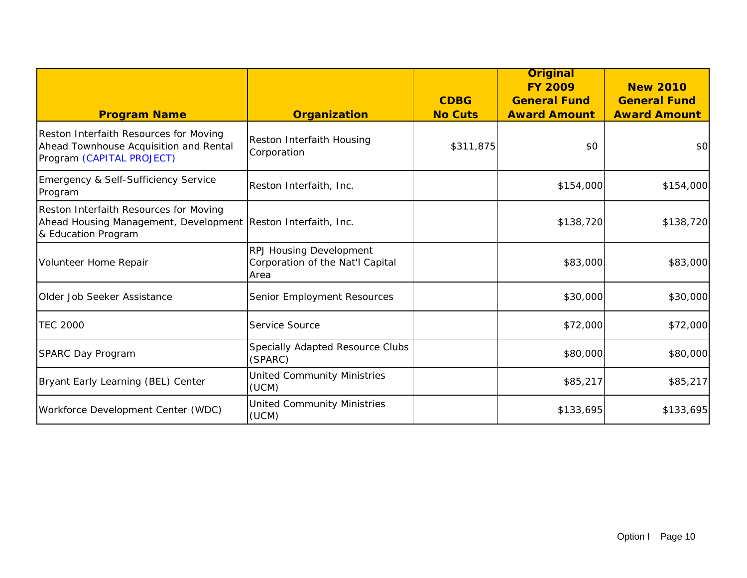| <b>Program Name</b>                                                                                                            | <b>Organization</b>                                                 | <b>CDBG</b><br><b>No Cuts</b> | <b>Original</b><br><b>FY 2009</b><br><b>General Fund</b><br><b>Award Amount</b> | <b>New 2010</b><br><b>General Fund</b><br><b>Award Amount</b> |
|--------------------------------------------------------------------------------------------------------------------------------|---------------------------------------------------------------------|-------------------------------|---------------------------------------------------------------------------------|---------------------------------------------------------------|
| Reston Interfaith Resources for Moving<br>Ahead Townhouse Acquisition and Rental<br>Program (CAPITAL PROJECT)                  | Reston Interfaith Housing<br>Corporation                            | \$311,875                     | \$0                                                                             | \$0                                                           |
| Emergency & Self-Sufficiency Service<br>Program                                                                                | Reston Interfaith, Inc.                                             |                               | \$154,000                                                                       | \$154,000                                                     |
| Reston Interfaith Resources for Moving<br>Ahead Housing Management, Development Reston Interfaith, Inc.<br>& Education Program |                                                                     |                               | \$138,720                                                                       | \$138,720                                                     |
| Volunteer Home Repair                                                                                                          | RPJ Housing Development<br>Corporation of the Nat'l Capital<br>Area |                               | \$83,000                                                                        | \$83,000                                                      |
| Older Job Seeker Assistance                                                                                                    | Senior Employment Resources                                         |                               | \$30,000                                                                        | \$30,000                                                      |
| <b>TEC 2000</b>                                                                                                                | Service Source                                                      |                               | \$72,000                                                                        | \$72,000                                                      |
| SPARC Day Program                                                                                                              | Specially Adapted Resource Clubs<br>(SPARC)                         |                               | \$80,000                                                                        | \$80,000                                                      |
| Bryant Early Learning (BEL) Center                                                                                             | <b>United Community Ministries</b><br>(UCM)                         |                               | \$85,217                                                                        | \$85,217                                                      |
| Workforce Development Center (WDC)                                                                                             | <b>United Community Ministries</b><br>(UCM)                         |                               | \$133,695                                                                       | \$133,695                                                     |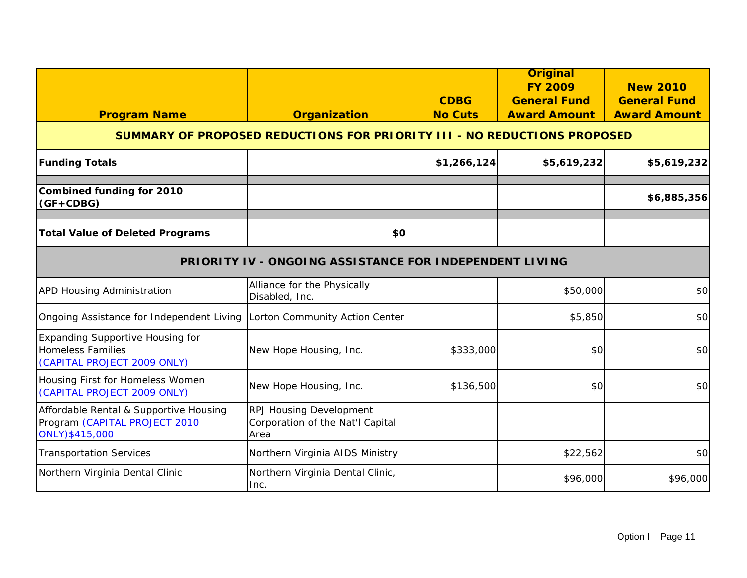| <b>Program Name</b>                                                                                | <b>Organization</b>                                                        | <b>CDBG</b><br><b>No Cuts</b> | <b>Original</b><br><b>FY 2009</b><br><b>General Fund</b><br><b>Award Amount</b> | <b>New 2010</b><br><b>General Fund</b><br><b>Award Amount</b> |  |  |  |
|----------------------------------------------------------------------------------------------------|----------------------------------------------------------------------------|-------------------------------|---------------------------------------------------------------------------------|---------------------------------------------------------------|--|--|--|
|                                                                                                    | SUMMARY OF PROPOSED REDUCTIONS FOR PRIORITY III - NO REDUCTIONS PROPOSED   |                               |                                                                                 |                                                               |  |  |  |
| <b>Funding Totals</b>                                                                              |                                                                            | \$1,266,124                   | \$5,619,232                                                                     | \$5,619,232                                                   |  |  |  |
| <b>Combined funding for 2010</b><br>$(GF+CDBG)$                                                    |                                                                            |                               |                                                                                 | \$6,885,356                                                   |  |  |  |
| <b>Total Value of Deleted Programs</b>                                                             | \$0                                                                        |                               |                                                                                 |                                                               |  |  |  |
| PRIORITY IV - ONGOING ASSISTANCE FOR INDEPENDENT LIVING                                            |                                                                            |                               |                                                                                 |                                                               |  |  |  |
| <b>APD Housing Administration</b>                                                                  | Alliance for the Physically<br>Disabled, Inc.                              |                               | \$50,000                                                                        | \$0                                                           |  |  |  |
| Ongoing Assistance for Independent Living                                                          | Lorton Community Action Center                                             |                               | \$5,850                                                                         | \$0                                                           |  |  |  |
| <b>Expanding Supportive Housing for</b><br><b>Homeless Families</b><br>(CAPITAL PROJECT 2009 ONLY) | New Hope Housing, Inc.                                                     | \$333,000                     | \$0                                                                             | \$0                                                           |  |  |  |
| Housing First for Homeless Women<br>(CAPITAL PROJECT 2009 ONLY)                                    | New Hope Housing, Inc.                                                     | \$136,500                     | \$0                                                                             | \$0                                                           |  |  |  |
| Affordable Rental & Supportive Housing<br>Program (CAPITAL PROJECT 2010<br>ONLY)\$415,000          | <b>RPJ Housing Development</b><br>Corporation of the Nat'l Capital<br>Area |                               |                                                                                 |                                                               |  |  |  |
| <b>Transportation Services</b>                                                                     | Northern Virginia AIDS Ministry                                            |                               | \$22,562                                                                        | \$0                                                           |  |  |  |
| Northern Virginia Dental Clinic                                                                    | Northern Virginia Dental Clinic,<br>lnc.                                   |                               | \$96,000                                                                        | \$96,000                                                      |  |  |  |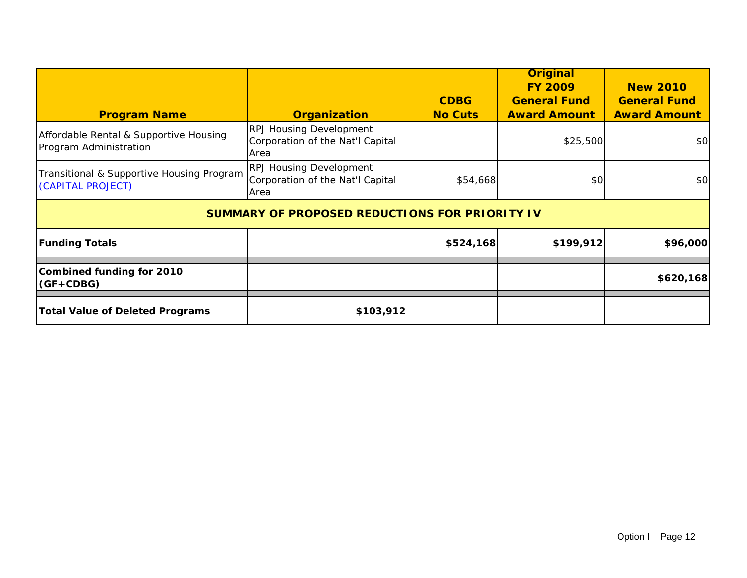|                                                                  |                                                                            | <b>CDBG</b>    | <b>Original</b><br><b>FY 2009</b><br><b>General Fund</b> | <b>New 2010</b><br><b>General Fund</b> |
|------------------------------------------------------------------|----------------------------------------------------------------------------|----------------|----------------------------------------------------------|----------------------------------------|
| <b>Program Name</b>                                              | <b>Organization</b>                                                        | <b>No Cuts</b> | <b>Award Amount</b>                                      | <b>Award Amount</b>                    |
| Affordable Rental & Supportive Housing<br>Program Administration | <b>RPJ Housing Development</b><br>Corporation of the Nat'l Capital<br>Area |                | \$25,500                                                 | \$0                                    |
| Transitional & Supportive Housing Program<br>(CAPITAL PROJECT)   | <b>RPJ Housing Development</b><br>Corporation of the Nat'l Capital<br>Area | \$54,668       | \$0                                                      | \$0                                    |
|                                                                  | <b>SUMMARY OF PROPOSED REDUCTIONS FOR PRIORITY IV</b>                      |                |                                                          |                                        |
| <b>Funding Totals</b>                                            |                                                                            | \$524,168      | \$199,912                                                | \$96,000                               |
| <b>Combined funding for 2010</b><br>$(GF+CDBG)$                  |                                                                            |                |                                                          | \$620,168                              |
| <b>Total Value of Deleted Programs</b>                           | \$103,912                                                                  |                |                                                          |                                        |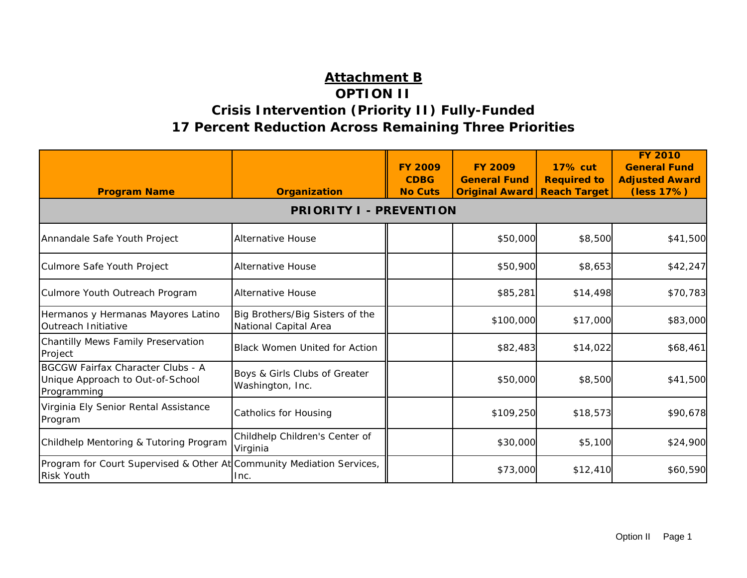## **Attachment B OPTION II Crisis Intervention (Priority II) Fully-Funded 17 Percent Reduction Across Remaining Three Priorities**

| <b>Program Name</b>                                                                         | <b>Organization</b>                                      | <b>FY 2009</b><br><b>CDBG</b><br><b>No Cuts</b> | <b>FY 2009</b><br><b>General Fund</b><br><b>Original Award</b> | <b>17% cut</b><br><b>Required to</b><br><b>Reach Target</b> | <b>FY 2010</b><br><b>General Fund</b><br><b>Adjusted Award</b><br>(less 17%) |
|---------------------------------------------------------------------------------------------|----------------------------------------------------------|-------------------------------------------------|----------------------------------------------------------------|-------------------------------------------------------------|------------------------------------------------------------------------------|
|                                                                                             | <b>PRIORITY I</b>                                        | - PREVENTION                                    |                                                                |                                                             |                                                                              |
| Annandale Safe Youth Project                                                                | <b>Alternative House</b>                                 |                                                 | \$50,000                                                       | \$8,500                                                     | \$41,500                                                                     |
| Culmore Safe Youth Project                                                                  | <b>Alternative House</b>                                 |                                                 | \$50,900                                                       | \$8,653                                                     | \$42,247                                                                     |
| Culmore Youth Outreach Program                                                              | <b>Alternative House</b>                                 |                                                 | \$85,281                                                       | \$14,498                                                    | \$70,783                                                                     |
| Hermanos y Hermanas Mayores Latino<br>Outreach Initiative                                   | Big Brothers/Big Sisters of the<br>National Capital Area |                                                 | \$100,000                                                      | \$17,000                                                    | \$83,000                                                                     |
| Chantilly Mews Family Preservation<br>Project                                               | <b>Black Women United for Action</b>                     |                                                 | \$82,483                                                       | \$14,022                                                    | \$68,461                                                                     |
| <b>BGCGW Fairfax Character Clubs - A</b><br>Unique Approach to Out-of-School<br>Programming | Boys & Girls Clubs of Greater<br>Washington, Inc.        |                                                 | \$50,000                                                       | \$8,500                                                     | \$41,500                                                                     |
| Virginia Ely Senior Rental Assistance<br>Program                                            | Catholics for Housing                                    |                                                 | \$109,250                                                      | \$18,573                                                    | \$90,678                                                                     |
| Childhelp Mentoring & Tutoring Program                                                      | Childhelp Children's Center of<br>Virginia               |                                                 | \$30,000                                                       | \$5,100                                                     | \$24,900                                                                     |
| Program for Court Supervised & Other At Community Mediation Services,<br><b>Risk Youth</b>  | Inc.                                                     |                                                 | \$73,000                                                       | \$12,410                                                    | \$60,590                                                                     |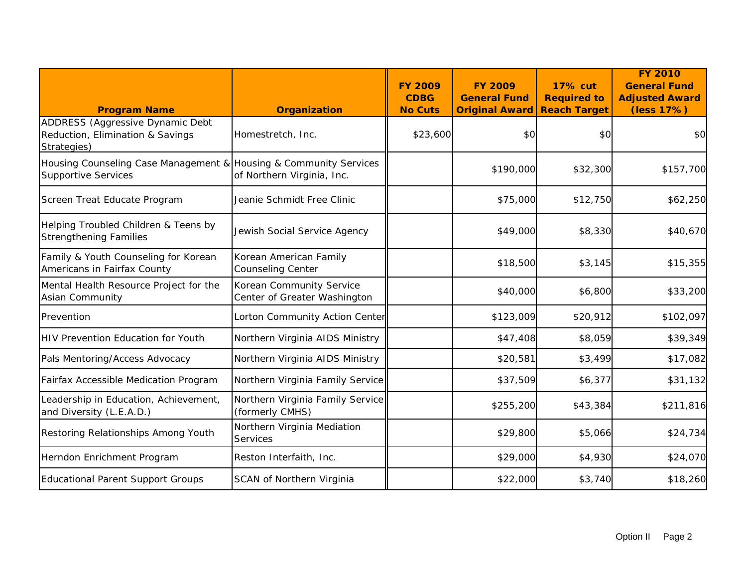| <b>Program Name</b>                                                                             | <b>Organization</b>                                      | <b>FY 2009</b><br><b>CDBG</b><br><b>No Cuts</b> | <b>FY 2009</b><br><b>General Fund</b><br><b>Original Award</b> | <b>17% cut</b><br><b>Required to</b><br><b>Reach Target</b> | <b>FY 2010</b><br><b>General Fund</b><br><b>Adjusted Award</b><br>(less 17%) |
|-------------------------------------------------------------------------------------------------|----------------------------------------------------------|-------------------------------------------------|----------------------------------------------------------------|-------------------------------------------------------------|------------------------------------------------------------------------------|
| ADDRESS (Aggressive Dynamic Debt<br>Reduction, Elimination & Savings<br>Strategies)             | Homestretch, Inc.                                        | \$23,600                                        | \$0                                                            | \$0                                                         | \$0                                                                          |
| Housing Counseling Case Management & Housing & Community Services<br><b>Supportive Services</b> | of Northern Virginia, Inc.                               |                                                 | \$190,000                                                      | \$32,300                                                    | \$157,700                                                                    |
| Screen Treat Educate Program                                                                    | Jeanie Schmidt Free Clinic                               |                                                 | \$75,000                                                       | \$12,750                                                    | \$62,250                                                                     |
| Helping Troubled Children & Teens by<br><b>Strengthening Families</b>                           | Jewish Social Service Agency                             |                                                 | \$49,000                                                       | \$8,330                                                     | \$40,670                                                                     |
| Family & Youth Counseling for Korean<br>Americans in Fairfax County                             | Korean American Family<br><b>Counseling Center</b>       |                                                 | \$18,500                                                       | \$3,145                                                     | \$15,355                                                                     |
| Mental Health Resource Project for the<br><b>Asian Community</b>                                | Korean Community Service<br>Center of Greater Washington |                                                 | \$40,000                                                       | \$6,800                                                     | \$33,200                                                                     |
| Prevention                                                                                      | Lorton Community Action Center                           |                                                 | \$123,009                                                      | \$20,912                                                    | \$102,097                                                                    |
| <b>HIV Prevention Education for Youth</b>                                                       | Northern Virginia AIDS Ministry                          |                                                 | \$47,408                                                       | \$8,059                                                     | \$39,349                                                                     |
| Pals Mentoring/Access Advocacy                                                                  | Northern Virginia AIDS Ministry                          |                                                 | \$20,581                                                       | \$3,499                                                     | \$17,082                                                                     |
| Fairfax Accessible Medication Program                                                           | Northern Virginia Family Service                         |                                                 | \$37,509                                                       | \$6,377                                                     | \$31,132                                                                     |
| Leadership in Education, Achievement,<br>and Diversity (L.E.A.D.)                               | Northern Virginia Family Service<br>(formerly CMHS)      |                                                 | \$255,200                                                      | \$43,384                                                    | \$211,816                                                                    |
| Restoring Relationships Among Youth                                                             | Northern Virginia Mediation<br><b>Services</b>           |                                                 | \$29,800                                                       | \$5,066                                                     | \$24,734                                                                     |
| Herndon Enrichment Program                                                                      | Reston Interfaith, Inc.                                  |                                                 | \$29,000                                                       | \$4,930                                                     | \$24,070                                                                     |
| <b>Educational Parent Support Groups</b>                                                        | SCAN of Northern Virginia                                |                                                 | \$22,000                                                       | \$3,740                                                     | \$18,260                                                                     |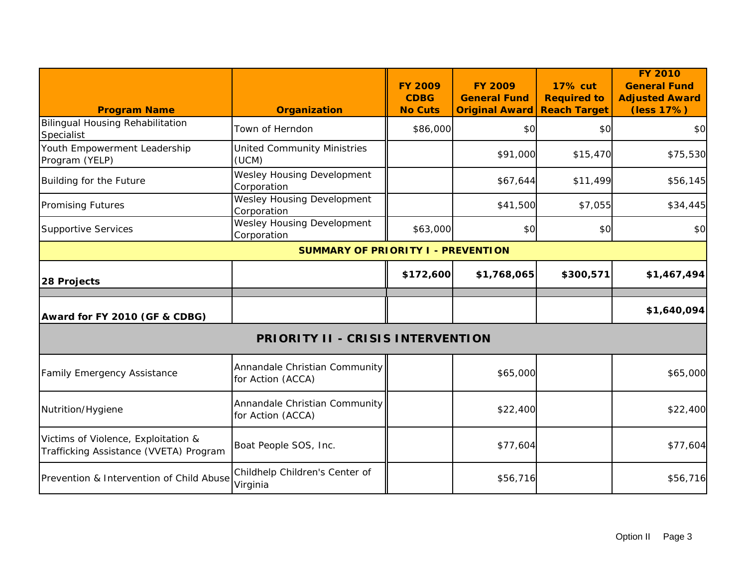| <b>Program Name</b>                                                           | <b>Organization</b>                                | <b>FY 2009</b><br><b>CDBG</b><br><b>No Cuts</b> | <b>FY 2009</b><br><b>General Fund</b><br><b>Original Award</b> | <b>17% cut</b><br><b>Required to</b><br><b>Reach Target</b> | <b>FY 2010</b><br><b>General Fund</b><br><b>Adjusted Award</b><br>(less 17%) |  |  |  |
|-------------------------------------------------------------------------------|----------------------------------------------------|-------------------------------------------------|----------------------------------------------------------------|-------------------------------------------------------------|------------------------------------------------------------------------------|--|--|--|
| <b>Bilingual Housing Rehabilitation</b><br>Specialist                         | Town of Herndon                                    | \$86,000                                        | \$0                                                            | \$0                                                         | \$0                                                                          |  |  |  |
| Youth Empowerment Leadership<br>Program (YELP)                                | <b>United Community Ministries</b><br>(UCM)        |                                                 | \$91,000                                                       | \$15,470                                                    | \$75,530                                                                     |  |  |  |
| Building for the Future                                                       | Wesley Housing Development<br>Corporation          |                                                 | \$67,644                                                       | \$11,499                                                    | \$56,145                                                                     |  |  |  |
| <b>Promising Futures</b>                                                      | Wesley Housing Development<br>Corporation          |                                                 | \$41,500                                                       | \$7,055                                                     | \$34,445                                                                     |  |  |  |
| <b>Supportive Services</b>                                                    | Wesley Housing Development<br>Corporation          | \$63,000                                        | \$0                                                            | \$0                                                         | \$0                                                                          |  |  |  |
|                                                                               | <b>SUMMARY OF PRIORITY I - PREVENTION</b>          |                                                 |                                                                |                                                             |                                                                              |  |  |  |
| 28 Projects                                                                   |                                                    | \$172,600                                       | \$1,768,065                                                    | \$300,571                                                   | \$1,467,494                                                                  |  |  |  |
| Award for FY 2010 (GF & CDBG)                                                 |                                                    |                                                 |                                                                |                                                             | \$1,640,094                                                                  |  |  |  |
|                                                                               | <b>PRIORITY II - CRISIS INTERVENTION</b>           |                                                 |                                                                |                                                             |                                                                              |  |  |  |
| <b>Family Emergency Assistance</b>                                            | Annandale Christian Community<br>for Action (ACCA) |                                                 | \$65,000                                                       |                                                             | \$65,000                                                                     |  |  |  |
| Nutrition/Hygiene                                                             | Annandale Christian Community<br>for Action (ACCA) |                                                 | \$22,400                                                       |                                                             | \$22,400                                                                     |  |  |  |
| Victims of Violence, Exploitation &<br>Trafficking Assistance (VVETA) Program | Boat People SOS, Inc.                              |                                                 | \$77,604                                                       |                                                             | \$77,604                                                                     |  |  |  |
| Prevention & Intervention of Child Abuse                                      | Childhelp Children's Center of<br>Virginia         |                                                 | \$56,716                                                       |                                                             | \$56,716                                                                     |  |  |  |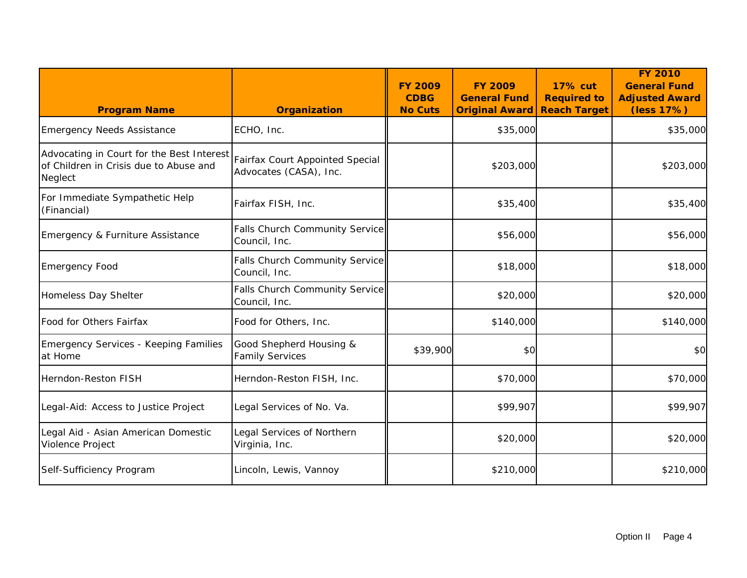| <b>Program Name</b>                                                                            | <b>Organization</b>                                       | <b>FY 2009</b><br><b>CDBG</b><br><b>No Cuts</b> | <b>FY 2009</b><br><b>General Fund</b><br><b>Original Award</b> | <b>17% cut</b><br><b>Required to</b><br><b>Reach Target</b> | <b>FY 2010</b><br><b>General Fund</b><br><b>Adjusted Award</b><br>(less 17%) |
|------------------------------------------------------------------------------------------------|-----------------------------------------------------------|-------------------------------------------------|----------------------------------------------------------------|-------------------------------------------------------------|------------------------------------------------------------------------------|
| <b>Emergency Needs Assistance</b>                                                              | ECHO, Inc.                                                |                                                 | \$35,000                                                       |                                                             | \$35,000                                                                     |
| Advocating in Court for the Best Interest<br>of Children in Crisis due to Abuse and<br>Neglect | Fairfax Court Appointed Special<br>Advocates (CASA), Inc. |                                                 | \$203,000                                                      |                                                             | \$203,000                                                                    |
| For Immediate Sympathetic Help<br>(Financial)                                                  | Fairfax FISH, Inc.                                        |                                                 | \$35,400                                                       |                                                             | \$35,400                                                                     |
| Emergency & Furniture Assistance                                                               | Falls Church Community Service<br>Council, Inc.           |                                                 | \$56,000                                                       |                                                             | \$56,000                                                                     |
| <b>Emergency Food</b>                                                                          | Falls Church Community Service<br>Council, Inc.           |                                                 | \$18,000                                                       |                                                             | \$18,000                                                                     |
| Homeless Day Shelter                                                                           | Falls Church Community Service<br>Council, Inc.           |                                                 | \$20,000                                                       |                                                             | \$20,000                                                                     |
| Food for Others Fairfax                                                                        | Food for Others, Inc.                                     |                                                 | \$140,000                                                      |                                                             | \$140,000                                                                    |
| <b>Emergency Services - Keeping Families</b><br>at Home                                        | Good Shepherd Housing &<br><b>Family Services</b>         | \$39,900                                        | \$0                                                            |                                                             | \$0                                                                          |
| Herndon-Reston FISH                                                                            | Herndon-Reston FISH, Inc.                                 |                                                 | \$70,000                                                       |                                                             | \$70,000                                                                     |
| Legal-Aid: Access to Justice Project                                                           | Legal Services of No. Va.                                 |                                                 | \$99,907                                                       |                                                             | \$99,907                                                                     |
| Legal Aid - Asian American Domestic<br>Violence Project                                        | Legal Services of Northern<br>Virginia, Inc.              |                                                 | \$20,000                                                       |                                                             | \$20,000                                                                     |
| Self-Sufficiency Program                                                                       | Lincoln, Lewis, Vannoy                                    |                                                 | \$210,000                                                      |                                                             | \$210,000                                                                    |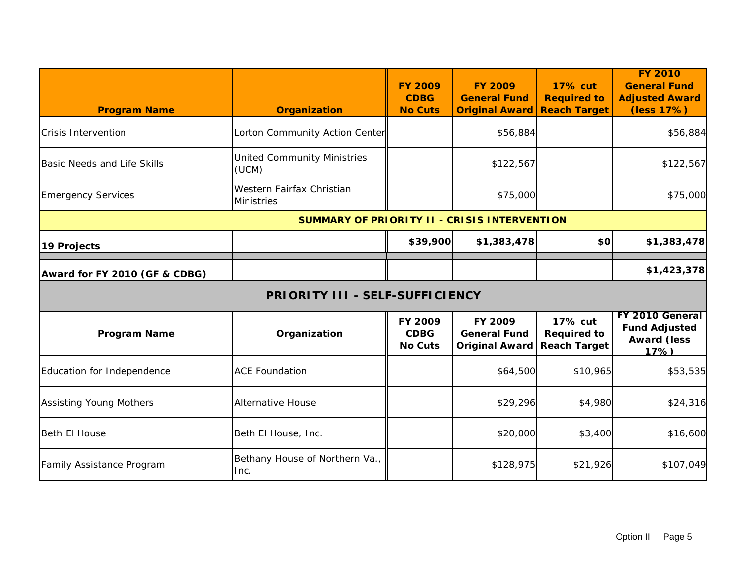| <b>Program Name</b>                          | <b>Organization</b>                            | <b>FY 2009</b><br><b>CDBG</b><br><b>No Cuts</b> | <b>FY 2009</b><br><b>General Fund</b><br><b>Original Award</b> | <b>17% cut</b><br><b>Required to</b><br><b>Reach Target</b> | <b>FY 2010</b><br><b>General Fund</b><br><b>Adjusted Award</b><br>(less 17%) |  |
|----------------------------------------------|------------------------------------------------|-------------------------------------------------|----------------------------------------------------------------|-------------------------------------------------------------|------------------------------------------------------------------------------|--|
| <b>Crisis Intervention</b>                   | Lorton Community Action Center                 |                                                 | \$56,884                                                       |                                                             | \$56,884                                                                     |  |
| <b>Basic Needs and Life Skills</b>           | <b>United Community Ministries</b><br>(UCM)    |                                                 | \$122,567                                                      |                                                             | \$122,567                                                                    |  |
| <b>Emergency Services</b>                    | Western Fairfax Christian<br><b>Ministries</b> |                                                 | \$75,000                                                       |                                                             | \$75,000                                                                     |  |
| SUMMARY OF PRIORITY II - CRISIS INTERVENTION |                                                |                                                 |                                                                |                                                             |                                                                              |  |
| 19 Projects                                  |                                                | \$39,900                                        | \$1,383,478                                                    | \$O                                                         | \$1,383,478                                                                  |  |
| Award for FY 2010 (GF & CDBG)                |                                                |                                                 |                                                                |                                                             | \$1,423,378                                                                  |  |
|                                              | <b>PRIORITY III - SELF-SUFFICIENCY</b>         |                                                 |                                                                |                                                             |                                                                              |  |
| <b>Program Name</b>                          | Organization                                   | FY 2009<br><b>CDBG</b><br><b>No Cuts</b>        | FY 2009<br><b>General Fund</b><br><b>Original Award</b>        | 17% cut<br><b>Required to</b><br><b>Reach Target</b>        | FY 2010 General<br><b>Fund Adjusted</b><br><b>Award (less</b><br>17%)        |  |
| Education for Independence                   | <b>ACE Foundation</b>                          |                                                 | \$64,500                                                       | \$10,965                                                    | \$53,535                                                                     |  |
| <b>Assisting Young Mothers</b>               | <b>Alternative House</b>                       |                                                 | \$29,296                                                       | \$4,980                                                     | \$24,316                                                                     |  |
| <b>Beth El House</b>                         | Beth El House, Inc.                            |                                                 | \$20,000                                                       | \$3,400                                                     | \$16,600                                                                     |  |
| Family Assistance Program                    | Bethany House of Northern Va.,<br>Inc.         |                                                 | \$128,975                                                      | \$21,926                                                    | \$107,049                                                                    |  |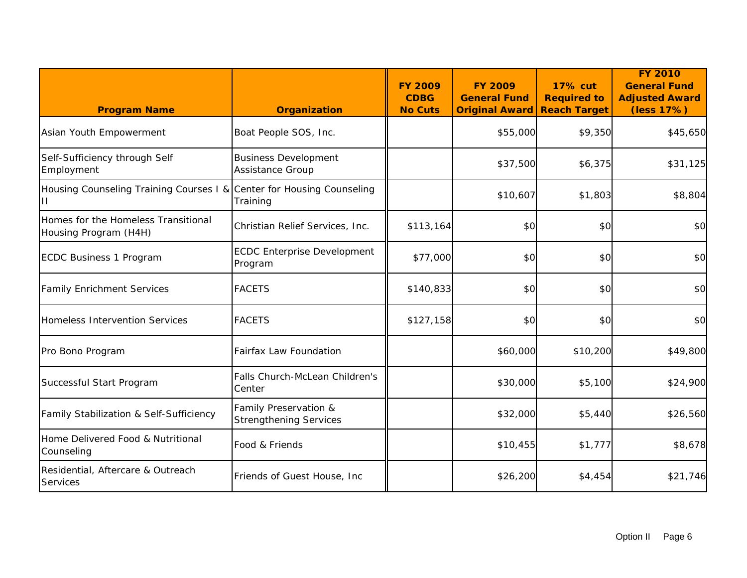| <b>Program Name</b>                                          | <b>Organization</b>                                    | <b>FY 2009</b><br><b>CDBG</b><br><b>No Cuts</b> | <b>FY 2009</b><br><b>General Fund</b><br><b>Original Award</b> | <b>17% cut</b><br><b>Required to</b><br><b>Reach Target</b> | <b>FY 2010</b><br><b>General Fund</b><br><b>Adjusted Award</b><br>(less 17%) |
|--------------------------------------------------------------|--------------------------------------------------------|-------------------------------------------------|----------------------------------------------------------------|-------------------------------------------------------------|------------------------------------------------------------------------------|
| Asian Youth Empowerment                                      | Boat People SOS, Inc.                                  |                                                 | \$55,000                                                       | \$9,350                                                     | \$45,650                                                                     |
| Self-Sufficiency through Self<br>Employment                  | <b>Business Development</b><br>Assistance Group        |                                                 | \$37,500                                                       | \$6,375                                                     | \$31,125                                                                     |
| Housing Counseling Training Courses I &<br>Ш                 | Center for Housing Counseling<br>Training              |                                                 | \$10,607                                                       | \$1,803                                                     | \$8,804                                                                      |
| Homes for the Homeless Transitional<br>Housing Program (H4H) | Christian Relief Services, Inc.                        | \$113,164                                       | \$0                                                            | \$0                                                         | \$0                                                                          |
| <b>ECDC Business 1 Program</b>                               | <b>ECDC Enterprise Development</b><br>Program          | \$77,000                                        | \$0                                                            | \$0                                                         | \$0                                                                          |
| <b>Family Enrichment Services</b>                            | <b>FACETS</b>                                          | \$140,833                                       | \$0                                                            | \$0                                                         | \$0                                                                          |
| <b>Homeless Intervention Services</b>                        | <b>FACETS</b>                                          | \$127,158                                       | \$0                                                            | \$0                                                         | \$0                                                                          |
| Pro Bono Program                                             | <b>Fairfax Law Foundation</b>                          |                                                 | \$60,000                                                       | \$10,200                                                    | \$49,800                                                                     |
| Successful Start Program                                     | Falls Church-McLean Children's<br>Center               |                                                 | \$30,000                                                       | \$5,100                                                     | \$24,900                                                                     |
| Family Stabilization & Self-Sufficiency                      | Family Preservation &<br><b>Strengthening Services</b> |                                                 | \$32,000                                                       | \$5,440                                                     | \$26,560                                                                     |
| Home Delivered Food & Nutritional<br>Counseling              | Food & Friends                                         |                                                 | \$10,455                                                       | \$1,777                                                     | \$8,678                                                                      |
| Residential, Aftercare & Outreach<br>Services                | Friends of Guest House, Inc                            |                                                 | \$26,200                                                       | \$4,454                                                     | \$21,746                                                                     |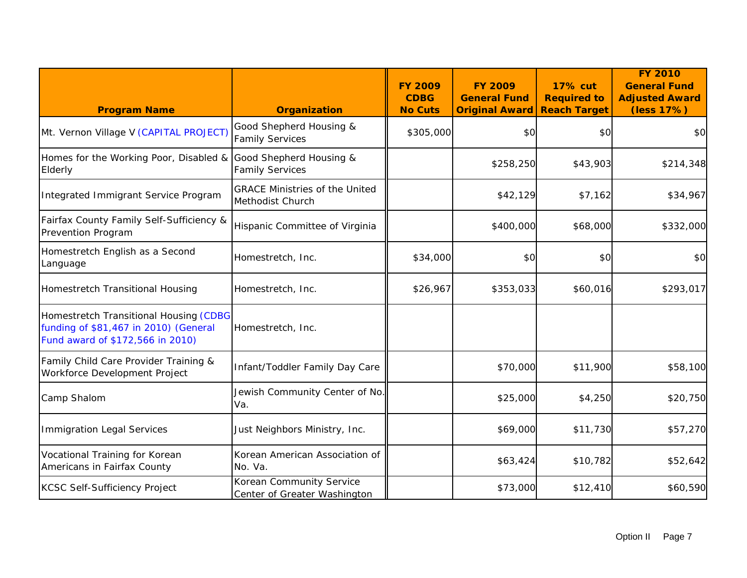| <b>Program Name</b>                                                                                                 | <b>Organization</b>                                       | <b>FY 2009</b><br><b>CDBG</b><br><b>No Cuts</b> | <b>FY 2009</b><br><b>General Fund</b><br><b>Original Award</b> | <b>17% cut</b><br><b>Required to</b><br><b>Reach Target</b> | <b>FY 2010</b><br><b>General Fund</b><br><b>Adjusted Award</b><br>(less 17%) |
|---------------------------------------------------------------------------------------------------------------------|-----------------------------------------------------------|-------------------------------------------------|----------------------------------------------------------------|-------------------------------------------------------------|------------------------------------------------------------------------------|
| Mt. Vernon Village V (CAPITAL PROJECT)                                                                              | Good Shepherd Housing &<br><b>Family Services</b>         | \$305,000                                       | \$0                                                            | \$0                                                         | \$0                                                                          |
| Homes for the Working Poor, Disabled &<br>Elderly                                                                   | Good Shepherd Housing &<br><b>Family Services</b>         |                                                 | \$258,250                                                      | \$43,903                                                    | \$214,348                                                                    |
| Integrated Immigrant Service Program                                                                                | <b>GRACE Ministries of the United</b><br>Methodist Church |                                                 | \$42,129                                                       | \$7,162                                                     | \$34,967                                                                     |
| Fairfax County Family Self-Sufficiency &<br>Prevention Program                                                      | Hispanic Committee of Virginia                            |                                                 | \$400,000                                                      | \$68,000                                                    | \$332,000                                                                    |
| Homestretch English as a Second<br>Language                                                                         | Homestretch, Inc.                                         | \$34,000                                        | \$0                                                            | \$0                                                         | \$0                                                                          |
| Homestretch Transitional Housing                                                                                    | Homestretch, Inc.                                         | \$26,967                                        | \$353,033                                                      | \$60,016                                                    | \$293,017                                                                    |
| Homestretch Transitional Housing (CDBG<br>funding of \$81,467 in 2010) (General<br>Fund award of \$172,566 in 2010) | Homestretch, Inc.                                         |                                                 |                                                                |                                                             |                                                                              |
| Family Child Care Provider Training &<br>Workforce Development Project                                              | Infant/Toddler Family Day Care                            |                                                 | \$70,000                                                       | \$11,900                                                    | \$58,100                                                                     |
| Camp Shalom                                                                                                         | Jewish Community Center of No.<br>Va.                     |                                                 | \$25,000                                                       | \$4,250                                                     | \$20,750                                                                     |
| <b>Immigration Legal Services</b>                                                                                   | Just Neighbors Ministry, Inc.                             |                                                 | \$69,000                                                       | \$11,730                                                    | \$57,270                                                                     |
| Vocational Training for Korean<br>Americans in Fairfax County                                                       | Korean American Association of<br>No. Va.                 |                                                 | \$63,424                                                       | \$10,782                                                    | \$52,642                                                                     |
| <b>KCSC Self-Sufficiency Project</b>                                                                                | Korean Community Service<br>Center of Greater Washington  |                                                 | \$73,000                                                       | \$12,410                                                    | \$60,590                                                                     |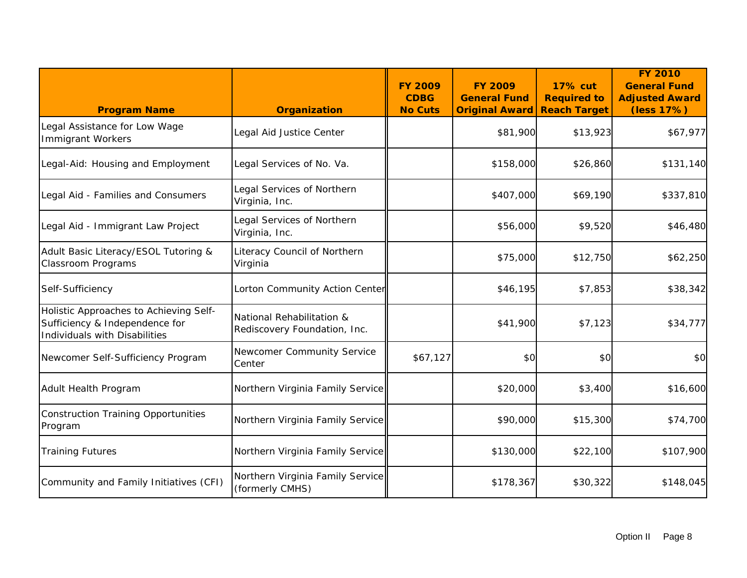| <b>Program Name</b>                                                                                       | <b>Organization</b>                                       | <b>FY 2009</b><br><b>CDBG</b><br><b>No Cuts</b> | <b>FY 2009</b><br><b>General Fund</b><br><b>Original Award</b> | <b>17% cut</b><br><b>Required to</b><br><b>Reach Target</b> | <b>FY 2010</b><br><b>General Fund</b><br><b>Adjusted Award</b><br>(less 17%) |
|-----------------------------------------------------------------------------------------------------------|-----------------------------------------------------------|-------------------------------------------------|----------------------------------------------------------------|-------------------------------------------------------------|------------------------------------------------------------------------------|
| Legal Assistance for Low Wage<br><b>Immigrant Workers</b>                                                 | Legal Aid Justice Center                                  |                                                 | \$81,900                                                       | \$13,923                                                    | \$67,977                                                                     |
| Legal-Aid: Housing and Employment                                                                         | Legal Services of No. Va.                                 |                                                 | \$158,000                                                      | \$26,860                                                    | \$131,140                                                                    |
| Legal Aid - Families and Consumers                                                                        | Legal Services of Northern<br>Virginia, Inc.              |                                                 | \$407,000                                                      | \$69,190                                                    | \$337,810                                                                    |
| Legal Aid - Immigrant Law Project                                                                         | Legal Services of Northern<br>Virginia, Inc.              |                                                 | \$56,000                                                       | \$9,520                                                     | \$46,480                                                                     |
| Adult Basic Literacy/ESOL Tutoring &<br><b>Classroom Programs</b>                                         | Literacy Council of Northern<br>Virginia                  |                                                 | \$75,000                                                       | \$12,750                                                    | \$62,250                                                                     |
| Self-Sufficiency                                                                                          | Lorton Community Action Center                            |                                                 | \$46,195                                                       | \$7,853                                                     | \$38,342                                                                     |
| Holistic Approaches to Achieving Self-<br>Sufficiency & Independence for<br>Individuals with Disabilities | National Rehabilitation &<br>Rediscovery Foundation, Inc. |                                                 | \$41,900                                                       | \$7,123                                                     | \$34,777                                                                     |
| Newcomer Self-Sufficiency Program                                                                         | Newcomer Community Service<br>Center                      | \$67,127                                        | \$0                                                            | \$0                                                         | \$0                                                                          |
| Adult Health Program                                                                                      | Northern Virginia Family Service                          |                                                 | \$20,000                                                       | \$3,400                                                     | \$16,600                                                                     |
| <b>Construction Training Opportunities</b><br>Program                                                     | Northern Virginia Family Service                          |                                                 | \$90,000                                                       | \$15,300                                                    | \$74,700                                                                     |
| <b>Training Futures</b>                                                                                   | Northern Virginia Family Service                          |                                                 | \$130,000                                                      | \$22,100                                                    | \$107,900                                                                    |
| Community and Family Initiatives (CFI)                                                                    | Northern Virginia Family Service<br>(formerly CMHS)       |                                                 | \$178,367                                                      | \$30,322                                                    | \$148,045                                                                    |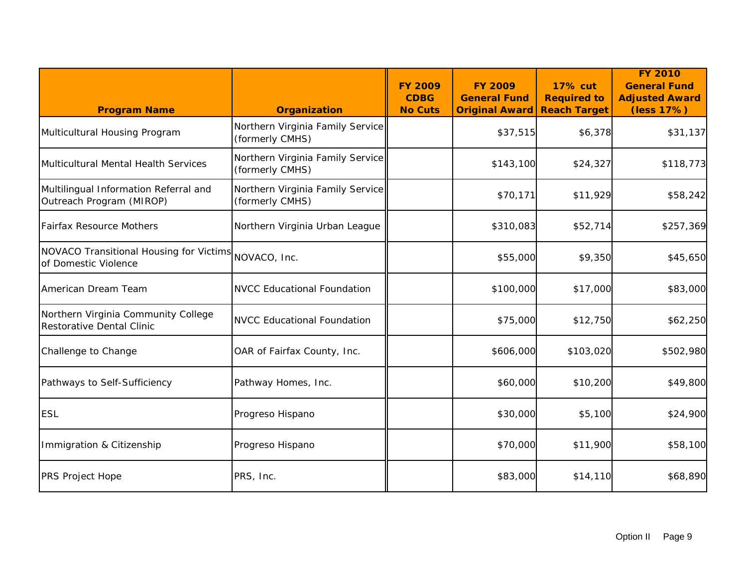| <b>Program Name</b>                                               | <b>Organization</b>                                 | <b>FY 2009</b><br><b>CDBG</b><br><b>No Cuts</b> | <b>FY 2009</b><br><b>General Fund</b><br><b>Original Award</b> | <b>17% cut</b><br><b>Required to</b><br><b>Reach Target</b> | <b>FY 2010</b><br><b>General Fund</b><br><b>Adjusted Award</b><br>(less 17%) |
|-------------------------------------------------------------------|-----------------------------------------------------|-------------------------------------------------|----------------------------------------------------------------|-------------------------------------------------------------|------------------------------------------------------------------------------|
| Multicultural Housing Program                                     | Northern Virginia Family Service<br>(formerly CMHS) |                                                 | \$37,515                                                       | \$6,378                                                     | \$31,137                                                                     |
| Multicultural Mental Health Services                              | Northern Virginia Family Service<br>(formerly CMHS) |                                                 | \$143,100                                                      | \$24,327                                                    | \$118,773                                                                    |
| Multilingual Information Referral and<br>Outreach Program (MIROP) | Northern Virginia Family Service<br>(formerly CMHS) |                                                 | \$70,171                                                       | \$11,929                                                    | \$58,242                                                                     |
| <b>Fairfax Resource Mothers</b>                                   | Northern Virginia Urban League                      |                                                 | \$310,083                                                      | \$52,714                                                    | \$257,369                                                                    |
| NOVACO Transitional Housing for Victims<br>of Domestic Violence   | NOVACO, Inc.                                        |                                                 | \$55,000                                                       | \$9,350                                                     | \$45,650                                                                     |
| American Dream Team                                               | <b>NVCC Educational Foundation</b>                  |                                                 | \$100,000                                                      | \$17,000                                                    | \$83,000                                                                     |
| Northern Virginia Community College<br>Restorative Dental Clinic  | <b>NVCC Educational Foundation</b>                  |                                                 | \$75,000                                                       | \$12,750                                                    | \$62,250                                                                     |
| Challenge to Change                                               | OAR of Fairfax County, Inc.                         |                                                 | \$606,000                                                      | \$103,020                                                   | \$502,980                                                                    |
| Pathways to Self-Sufficiency                                      | Pathway Homes, Inc.                                 |                                                 | \$60,000                                                       | \$10,200                                                    | \$49,800                                                                     |
| <b>ESL</b>                                                        | Progreso Hispano                                    |                                                 | \$30,000                                                       | \$5,100                                                     | \$24,900                                                                     |
| Immigration & Citizenship                                         | Progreso Hispano                                    |                                                 | \$70,000                                                       | \$11,900                                                    | \$58,100                                                                     |
| <b>PRS Project Hope</b>                                           | PRS, Inc.                                           |                                                 | \$83,000                                                       | \$14,110                                                    | \$68,890                                                                     |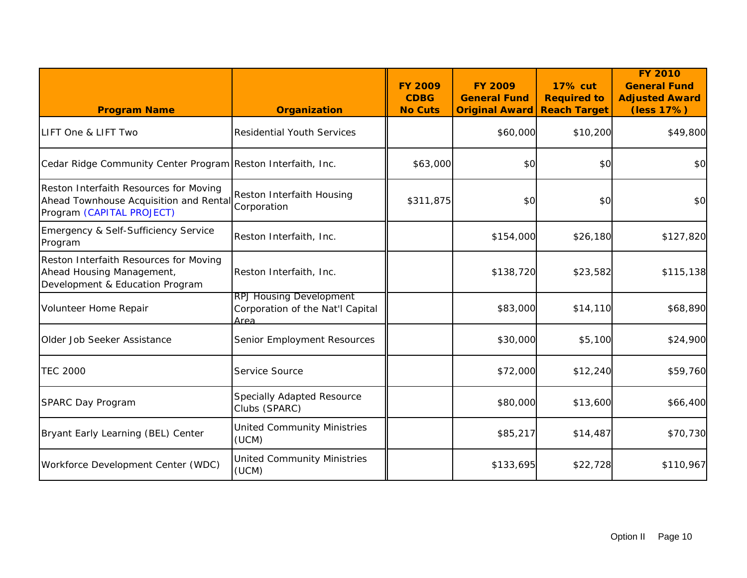| <b>Program Name</b>                                                                                           | <b>Organization</b>                                                        | <b>FY 2009</b><br><b>CDBG</b><br><b>No Cuts</b> | <b>FY 2009</b><br><b>General Fund</b><br><b>Original Award</b> | <b>17% cut</b><br><b>Required to</b><br><b>Reach Target</b> | <b>FY 2010</b><br><b>General Fund</b><br><b>Adjusted Award</b><br>(less 17%) |
|---------------------------------------------------------------------------------------------------------------|----------------------------------------------------------------------------|-------------------------------------------------|----------------------------------------------------------------|-------------------------------------------------------------|------------------------------------------------------------------------------|
| LIFT One & LIFT Two                                                                                           | <b>Residential Youth Services</b>                                          |                                                 | \$60,000                                                       | \$10,200                                                    | \$49,800                                                                     |
| Cedar Ridge Community Center Program Reston Interfaith, Inc.                                                  |                                                                            | \$63,000                                        | \$0                                                            | \$0                                                         | \$0                                                                          |
| Reston Interfaith Resources for Moving<br>Ahead Townhouse Acquisition and Rental<br>Program (CAPITAL PROJECT) | Reston Interfaith Housing<br>Corporation                                   | \$311,875                                       | \$0                                                            | \$0                                                         | \$0                                                                          |
| Emergency & Self-Sufficiency Service<br>Program                                                               | Reston Interfaith, Inc.                                                    |                                                 | \$154,000                                                      | \$26,180                                                    | \$127,820                                                                    |
| Reston Interfaith Resources for Moving<br>Ahead Housing Management,<br>Development & Education Program        | Reston Interfaith, Inc.                                                    |                                                 | \$138,720                                                      | \$23,582                                                    | \$115,138                                                                    |
| Volunteer Home Repair                                                                                         | <b>RPJ Housing Development</b><br>Corporation of the Nat'l Capital<br>Area |                                                 | \$83,000                                                       | \$14,110                                                    | \$68,890                                                                     |
| Older Job Seeker Assistance                                                                                   | Senior Employment Resources                                                |                                                 | \$30,000                                                       | \$5,100                                                     | \$24,900                                                                     |
| <b>TEC 2000</b>                                                                                               | Service Source                                                             |                                                 | \$72,000                                                       | \$12,240                                                    | \$59,760                                                                     |
| SPARC Day Program                                                                                             | Specially Adapted Resource<br>Clubs (SPARC)                                |                                                 | \$80,000                                                       | \$13,600                                                    | \$66,400                                                                     |
| Bryant Early Learning (BEL) Center                                                                            | <b>United Community Ministries</b><br>(UCM)                                |                                                 | \$85,217                                                       | \$14,487                                                    | \$70,730                                                                     |
| Workforce Development Center (WDC)                                                                            | <b>United Community Ministries</b><br>(UCM)                                |                                                 | \$133,695                                                      | \$22,728                                                    | \$110,967                                                                    |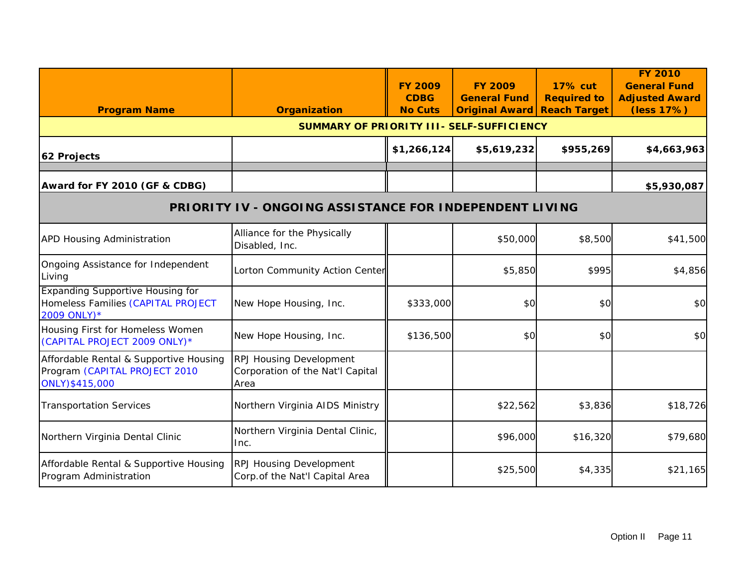|                                                                                               |                                                                     | <b>FY 2009</b><br><b>CDBG</b> | <b>FY 2009</b><br><b>General Fund</b> | <b>17% cut</b><br><b>Required to</b> | <b>FY 2010</b><br><b>General Fund</b><br><b>Adjusted Award</b> |
|-----------------------------------------------------------------------------------------------|---------------------------------------------------------------------|-------------------------------|---------------------------------------|--------------------------------------|----------------------------------------------------------------|
| <b>Program Name</b>                                                                           | <b>Organization</b><br>SUMMARY OF PRIORITY III- SELF-SUFFICIENCY    | <b>No Cuts</b>                | <b>Original Award</b>                 | <b>Reach Target</b>                  | (less 17%)                                                     |
| 62 Projects                                                                                   |                                                                     | \$1,266,124                   | \$5,619,232                           | \$955,269                            | \$4,663,963                                                    |
| Award for FY 2010 (GF & CDBG)                                                                 |                                                                     |                               |                                       |                                      | \$5,930,087                                                    |
|                                                                                               | <b>PRIORITY IV - ONGOING ASSISTANCE FOR INDEPENDENT LIVING</b>      |                               |                                       |                                      |                                                                |
| <b>APD Housing Administration</b>                                                             | Alliance for the Physically<br>Disabled, Inc.                       |                               | \$50,000                              | \$8,500                              | \$41,500                                                       |
| Ongoing Assistance for Independent<br>Living                                                  | Lorton Community Action Center                                      |                               | \$5,850                               | \$995                                | \$4,856                                                        |
| <b>Expanding Supportive Housing for</b><br>Homeless Families (CAPITAL PROJECT<br>2009 ONLY) * | New Hope Housing, Inc.                                              | \$333,000                     | \$0                                   | \$0                                  | \$0                                                            |
| Housing First for Homeless Women<br>(CAPITAL PROJECT 2009 ONLY)*                              | New Hope Housing, Inc.                                              | \$136,500                     | \$0                                   | \$0                                  | \$0                                                            |
| Affordable Rental & Supportive Housing<br>Program (CAPITAL PROJECT 2010<br>ONLY)\$415,000     | RPJ Housing Development<br>Corporation of the Nat'l Capital<br>Area |                               |                                       |                                      |                                                                |
| <b>Transportation Services</b>                                                                | Northern Virginia AIDS Ministry                                     |                               | \$22,562                              | \$3,836                              | \$18,726                                                       |
| Northern Virginia Dental Clinic                                                               | Northern Virginia Dental Clinic,<br>Inc.                            |                               | \$96,000                              | \$16,320                             | \$79,680                                                       |
| Affordable Rental & Supportive Housing<br>Program Administration                              | <b>RPJ Housing Development</b><br>Corp.of the Nat'l Capital Area    |                               | \$25,500                              | \$4,335                              | \$21,165                                                       |